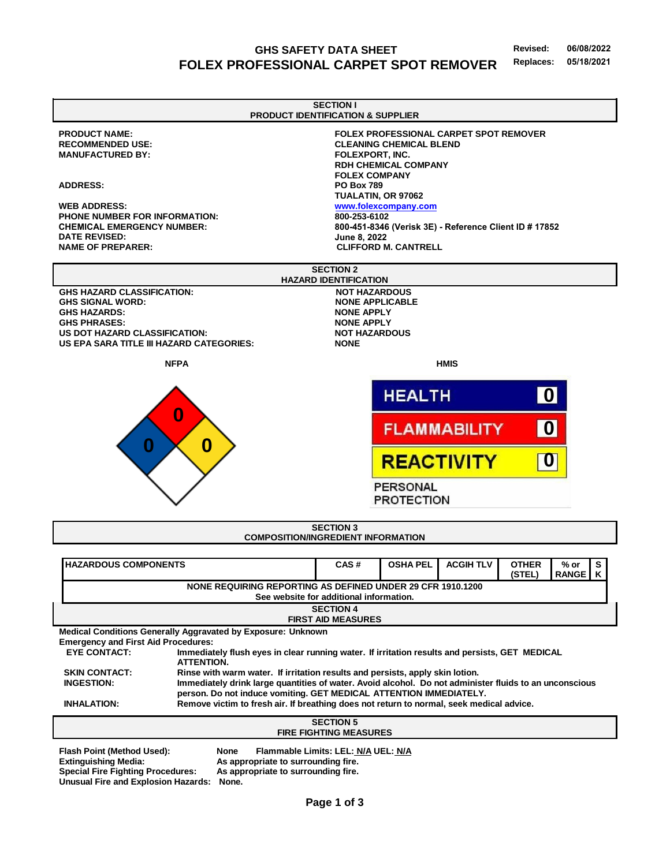### **GHS SAFETY DATA SHEET Revised: 06/08/2022 FOLEX PROFESSIONAL CARPET SPOT REMOVER Replaces: 05/18/2021**



**Emergency and First Aid Procedures:** 

**EYE CONTACT:** Immediately flush eyes in clear running water. If irritation results and persists, GET MEDICAL **ATTENTION. SKIN CONTACT: Rinse with warm water. If irritation results and persists, apply skin lotion. INGESTION: Immediately drink large quantities of water. Avoid alcohol. Do not administer fluids to an unconscious person. Do not induce vomiting. GET MEDICAL ATTENTION IMMEDIATELY. INHALATION: Remove victim to fresh air. If breathing does not return to normal, seek medical advice.**

| <b>SECTION 5</b>                                                        |                                                                            |  |
|-------------------------------------------------------------------------|----------------------------------------------------------------------------|--|
| <b>FIRE FIGHTING MEASURES</b>                                           |                                                                            |  |
| Flash Point (Method Used):                                              | Flammable Limits: LEL: N/A UEL: N/A<br>None                                |  |
| <b>Extinguishing Media:</b><br><b>Special Fire Fighting Procedures:</b> | As appropriate to surrounding fire.<br>As appropriate to surrounding fire. |  |
| Unusual Fire and Explosion Hazards:                                     | None.                                                                      |  |

**Page 1 of 3**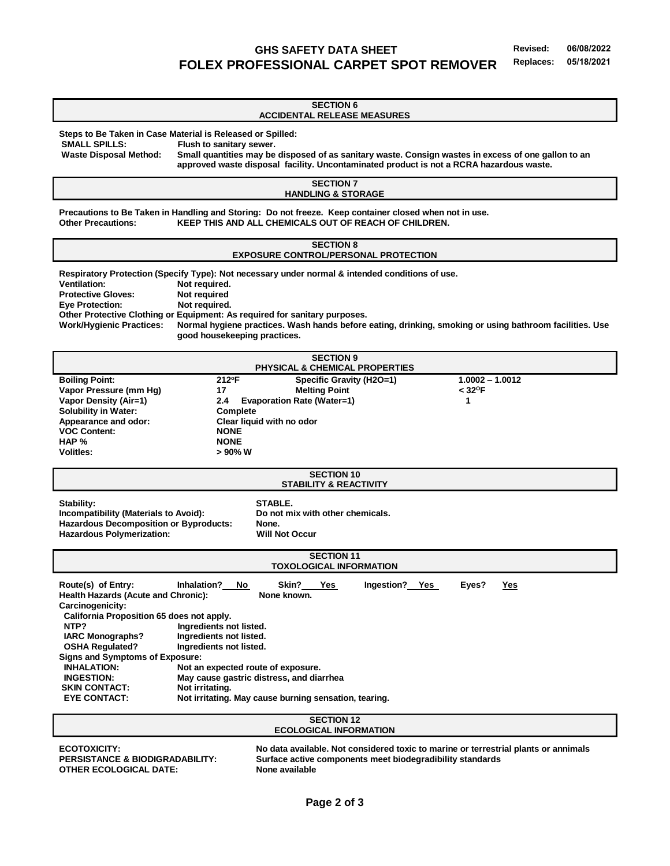# **GHS SAFETY DATA SHEET Revised: 06/08/2022 FOLEX PROFESSIONAL CARPET SPOT REMOVER Replaces: 05/18/2021**

**SECTION 6 ACCIDENTAL RELEASE MEASURES Steps to Be Taken in Case Material is Released or Spilled: Flush to sanitary sewer. Waste Disposal Method: Small quantities may be disposed of as sanitary waste. Consign wastes in excess of one gallon to an approved waste disposal facility. Uncontaminated product is not a RCRA hazardous waste. SECTION 7 HANDLING & STORAGE Precautions to Be Taken in Handling and Storing: Do not freeze. Keep container closed when not in use. Other Precautions: KEEP THIS AND ALL CHEMICALS OUT OF REACH OF CHILDREN. SECTION 8 EXPOSURE CONTROL/PERSONAL PROTECTION Respiratory Protection (Specify Type): Not necessary under normal & intended conditions of use. Ventilation: Not required. Protective Gloves: Not required Eye Protection: Not required. Other Protective Clothing or Equipment: As required for sanitary purposes. Work/Hygienic Practices: Normal hygiene practices. Wash hands before eating, drinking, smoking or using bathroom facilities. Use good housekeeping practices. SECTION 9 PHYSICAL & CHEMICAL PROPERTIES Boiling Point: 212<sup>o</sup>F Specific Gravity (H2O=1) 1.0002 – 1.0012 Vapor Pressure (mm Hg) 17 17 Melting Point Vapor Density (Air=1) 2.4 Evaporation Rate (Water=1) 1 Solubility in Water: Appearance and odor: Clear liquid with no odor VOC Content: HAP % NONE Volitles: > 90% W SECTION 10 STABILITY & REACTIVITY** Stability: Stability: STABLE. **Incompatibility (Materials to Avoid): Do not mix with other chemicals. Hazardous Decomposition or Byproducts: None. Hazardous Polymerization: Will Not Occur SECTION 11 TOXOLOGICAL INFORMATION Route(s) of Entry: Inhalation? No Skin? Yes Ingestion? Yes Eyes? Yes Health Hazards (Acute and Chronic): None known. Carcinogenicity: California Proposition 65 does not apply. NTP?** Ingredients not listed.  **IARC Monographs? Ingredients not listed. OSHA Regulated? Ingredients not listed. Signs and Symptoms of Exposure:** Not an expected route of exposure.  **INGESTION: May cause gastric distress, and diarrhea** SKIN CONTACT: Not irritating.  **EYE CONTACT: Not irritating. May cause burning sensation, tearing. SECTION 12 ECOLOGICAL INFORMATION ECOTOXICITY: No data available. Not considered toxic to marine or terrestrial plants or annimals**

**OTHER ECOLOGICAL DATE:** None available

**PERSISTANCE & BIODIGRADABILITY: Surface active components meet biodegradibility standards**